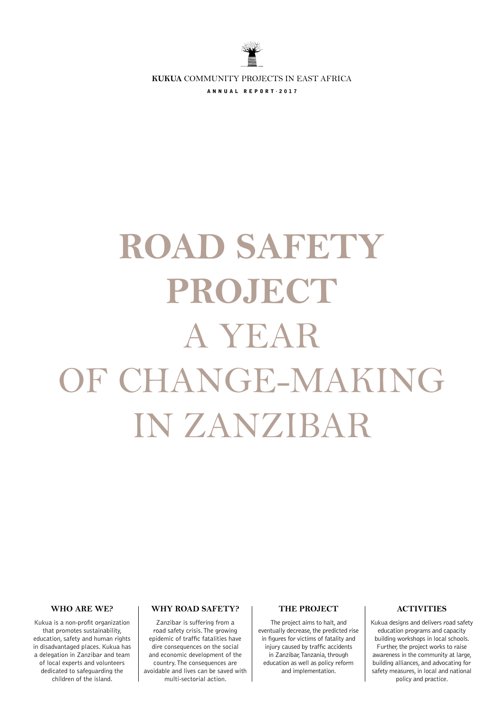

**kukua** community projects in east africa ANNUAL REPORT·2017

# **ROAD SAFETY PROJECT** a year OF CHANGE-MAKING in zanzibar

## **WHO ARE WE?**

Kukua is a non-profit organization that promotes sustainability, education, safety and human rights in disadvantaged places. Kukua has a delegation in Zanzibar and team of local experts and volunteers dedicated to safeguarding the children of the island.

## **why road safety?**

Zanzibar is suffering from a road safety crisis. The growing epidemic of traffic fatalities have dire consequences on the social and economic development of the country. The consequences are avoidable and lives can be saved with multi-sectorial action.

## **the project**

The project aims to halt, and eventually decrease, the predicted rise in figures for victims of fatality and injury caused by traffic accidents in Zanzibar, Tanzania, through education as well as policy reform and implementation.

## **activities**

Kukua designs and delivers road safety education programs and capacity building workshops in local schools. Further, the project works to raise awareness in the community at large, building alliances, and advocating for safety measures, in local and national policy and practice.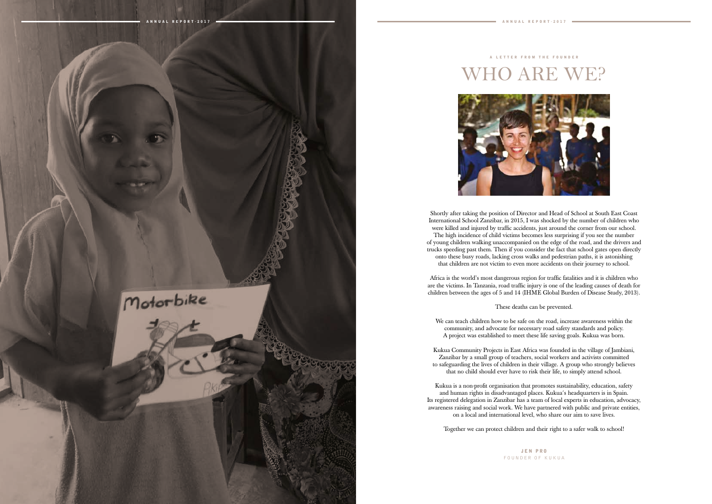Shortly after taking the position of Director and Head of School at South East Coast International School Zanzibar, in 2015, I was shocked by the number of children who were killed and injured by traffic accidents, just around the corner from our school. The high incidence of child victims becomes less surprising if you see the number of young children walking unaccompanied on the edge of the road, and the drivers and trucks speeding past them. Then if you consider the fact that school gates open directly onto these busy roads, lacking cross walks and pedestrian paths, it is astonishing that children are not victim to even more accidents on their journey to school.

Africa is the world's most dangerous region for traffic fatalities and it is children who are the victims. In Tanzania, road traffic injury is one of the leading causes of death for children between the ages of 5 and 14 (IHME Global Burden of Disease Study, 2013).

These deaths can be prevented.

## who are we? A LETTER FROM THE FOUNDER



j en pro FOUNDER OF KUKUA

We can teach children how to be safe on the road, increase awareness within the community, and advocate for necessary road safety standards and policy. A project was established to meet these life saving goals. Kukua was born.

Kukua Community Projects in East Africa was founded in the village of Jambiani, Zanzibar by a small group of teachers, social workers and activists committed to safeguarding the lives of children in their village. A group who strongly believes that no child should ever have to risk their life, to simply attend school.

Kukua is a non-profit organisation that promotes sustainability, education, safety and human rights in disadvantaged places. Kukua´s headquarters is in Spain. Its registered delegation in Zanzibar has a team of local experts in education, advocacy, awareness raising and social work. We have partnered with public and private entities, on a local and international level, who share our aim to save lives.

Together we can protect children and their right to a safer walk to school!

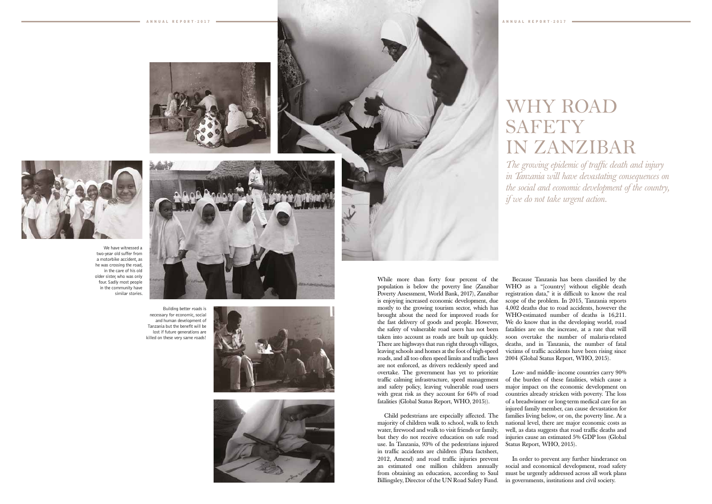





# WHY ROAD SAFETY in zanzibar

Child pedestrians are especially affected. The majority of children walk to school, walk to fetch water, firewood and walk to visit friends or family. but they do not receive education on safe road use. In Tanzania, 93% of the pedestrians injured in traffic accidents are children (Data factsheet, 2012, Amend) and road traffic injuries prevent an estimated one million children annually from obtaining an education, according to Saul Billingsley, Director of the UN Road Safety Fund.

*The growing epidemic of traffic death and injury in Tanzania will have devastating consequences on the social and economic development of the country, if we do not take urgent action.*



We have witnessed a two-year old suffer from a motorbike accident, as he was crossing the road, in the care of his old older sister, who was only four. Sadly most people in the community have similar stories.

Because Tanzania has been classified by the WHO as a "[country] without eligible death registration data," it is difficult to know the real scope of the problem. In 2015, Tanzania reports 4,002 deaths due to road accidents, however the WHO-estimated number of deaths is 16,211. We do know that in the developing world, road fatalities are on the increase, at a rate that will soon overtake the number of malaria-related deaths, and in Tanzania, the number of fatal victims of traffic accidents have been rising since 2004 (Global Status Report, WHO, 2015). Low- and middle- income countries carry 90%

of the burden of these fatalities, which cause a major impact on the economic development on countries already stricken with poverty. The loss of a breadwinner or long-term medical care for an injured family member, can cause devastation for families living below, or on, the poverty line. At a national level, there are major economic costs as well, as data suggests that road traffic deaths and injuries cause an estimated 5% GDP loss (Global Status Report, WHO, 2015).

In order to prevent any further hinderance on social and economical development, road safety must be urgently addressed across all work plans in governments, institutions and civil society.

Building better roads is necessary for economic, social and human development of Tanzania but the benefit will be lost if future generations are killed on these very same roads!



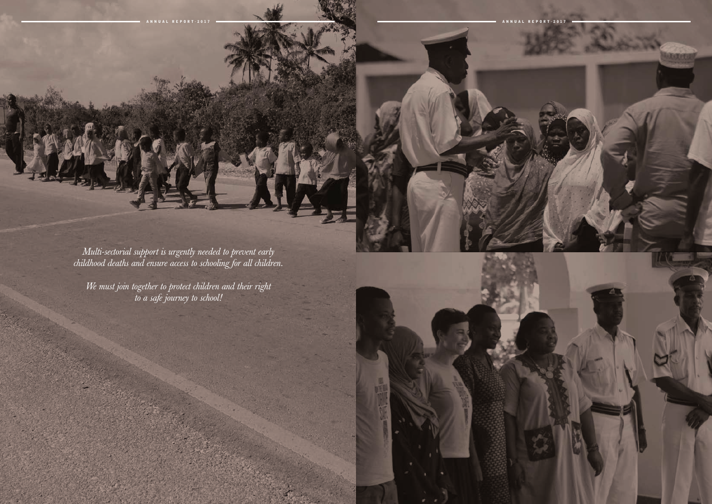ANNUAL REPORT·2017 ANNUAL REPORT·2017

*Multi-sectorial support is urgently needed to prevent early childhood deaths and ensure access to schooling for all children.* 

*We must join together to protect children and their right to a safe journey to school!*

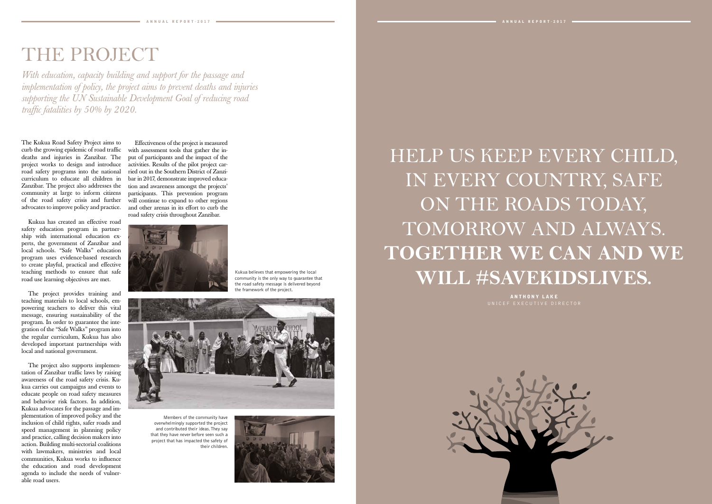# HELP US KEEP EVERY CHILD, IN EVERY COUNTRY, SAFE ON THE ROADS TODAY, tomorrow and always. **Together we can and we will #SaveKidsLives.**

ANTHONY LAKE





Members of the community have overwhelmingly supported the project and contributed their ideas. They say that they have never before seen such a project that has impacted the safety of their children.



## THE PROJECT

The Kukua Road Safety Project aims to curb the growing epidemic of road traffic deaths and injuries in Zanzibar. The project works to design and introduce road safety programs into the national curriculum to educate all children in bar in 2017, demonstrate improved educacommunity at large to inform citizens of the road safety crisis and further advocates to improve policy and practice.

Kukua has created an effective road safety education program in partnership with international education experts, the government of Zanzibar and local schools. "Safe Walks" education program uses evidence-based research to create playful, practical and effective teaching methods to ensure that safe road use learning objectives are met.

The project provides training and teaching materials to local schools, empowering teachers to deliver this vital message, ensuring sustainability of the program. In order to guarantee the integration of the "Safe Walks" program into the regular curriculum, Kukua has also developed important partnerships with local and national government.

The project also supports implementation of Zanzibar traffic laws by raising awareness of the road safety crisis. Kukua carries out campaigns and events to educate people on road safety measures and behavior risk factors. In addition, Kukua advocates for the passage and implementation of improved policy and the inclusion of child rights, safer roads and speed management in planning policy and practice, calling decision makers into action. Building multi-sectorial coalitions with lawmakers, ministries and local communities, Kukua works to influence the education and road development agenda to include the needs of vulnerable road users.

Zanzibar. The project also addresses the tion and awareness amongst the projects' Effectiveness of the project is measured with assessment tools that gather the input of participants and the impact of the activities. Results of the pilot project carried out in the Southern District of Zanziparticipants. This prevention program will continue to expand to other regions and other arenas in its effort to curb the road safety crisis throughout Zanzibar.

*With education, capacity building and support for the passage and implementation of policy, the project aims to prevent deaths and injuries supporting the UN Sustainable Development Goal of reducing road traffic fatalities by 50% by 2020.*



Kukua believes that empowering the local community is the only way to guarantee that the road safety message is delivered beyond the framework of the project.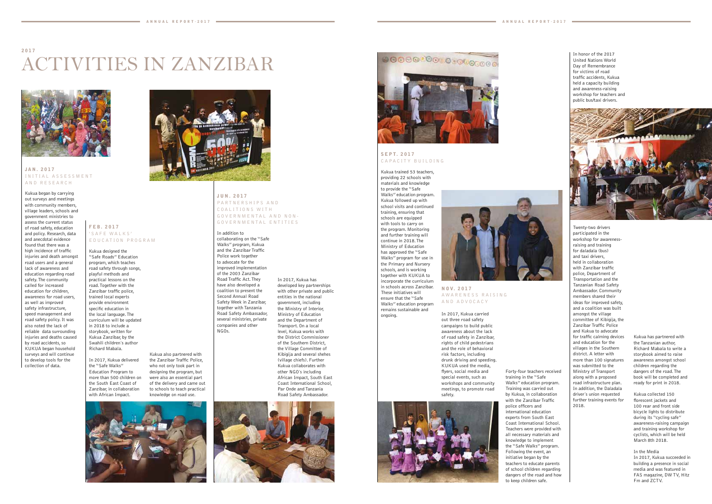In honor of the 2017 United Nations World Day of Remembrance for victims of road traffic accidents, Kukua held a capacity building and awareness-raising workshop for teachers and public bus/taxi drivers.

## JAN. 2017 INITIAL ASSESSMENT and re s ear c h

## activities in zanzibar 2017



## s ept. 2017 c apa cit y b u i l d i n g

## no v. 2017 AWARENE SS RA ISI NG AND ADVO C A C Y

Kukua began by carrying out surveys and meetings with community members, village leaders, schools and government ministries to assess the current status of road safety, education and policy. Research, data and anecdotal evidence found that there was a high incidence of traffic injuries and death amongst road users and a general lack of awareness and education regarding road safety. The community called for increased education for children, awareness for road users, as well as improved safety infrastructure, speed management and road safety policy. It was also noted the lack of reliable data surrounding injuries and deaths caused by road accidents, so KUKUA began household surveys and will continue to develop tools for the collection of data.



f e b. 2017 ' s a f e wa l ks '

E d u c ati on Progra m

## J UN. 2017 PARTNERSHIPS AND c oal iti o n s wit h govern m e n tal and non-GOVERNMENTAL ENTITIES

Kukua designed the "Safe Roads" Education program, which teaches road safety through songs, playful methods and practical lessons on the road. Together with the Zanzibar traffic police, trained local experts provide environment specific education in the local language. The curriculum will be updated in 2018 to include a storybook, written for Kukua Zanzibar, by the Swahili children´s author Richard Mabala.

In 2017, Kukua delivered the "Safe Walks" Education Program to more than 500 children on the South East Coast of Zanzibar, in collaboration with African Impact.

Kukua also partnered with the Zanzibar Traffic Police, who not only took part in designing the program, but were also an essential part of the delivery and came out to schools to teach practical knowledge on road use.







Kukua trained 53 teachers, providing 22 schools with materials and knowledge to provide the "Safe Walks" education program. Kukua followed up with school visits and continued training, ensuring that schools are equipped with tools to carry on the program. Monitoring and further training will continue in 2018. The Ministry of Education has approved the "Safe Walks" program for use in the Primary and Nursery schools, and is working together with KUKUA to incorporate the curriculum in schools across Zanzibar. These initiatives will ensure that the "Safe Walks" education program remains sustainable and ongoing.



#### In addition to collaborating on the "Safe Walks" program, Kukua and the Zanzibar Traffic Police work together to advocate for the improved implementation of the 2003 Zanzibar Road Traffic Act. They have also developed a coalition to present the Second Annual Road Safety Week in Zanzibar, together with Tanzania Road Safety Ambassador, several ministries, private companies and other NGOs.

In 2017, Kukua has developed key partnerships with other private and public entities in the national government, including the Ministry of Interior, Ministry of Education and the Department of Transport. On a local level, Kukua works with the District Commissioner of the Southern District, the Village Committee of Kibigija and several shehes (village chiefs). Further Kukua collaborates with other NGO´s including African Impact, South East Coast International School, Par Onde and Tanzania Road Safety Ambassador.

In 2017, Kukua carried out three road safety campaigns to build public awareness about the lack of road safety in Zanzibar, rights of child pedestrians and the role of behavioral risk factors, including drunk driving and speeding. KUKUA used the media, flyers, social media and special events, such as workshops and community meetings, to promote road safety.



Forty-four teachers received training in the "Safe Walks" education program. Training was carried out by Kukua, in collaboration with the Zanzibar Traffic police officers and international education experts from South East Coast International School. Teachers were provided with all necessary materials and knowledge to implement the "Safe Walks" program. Following the event, an initiative began by the teachers to educate parents of school children regarding dangers of the road and how to keep children safe.





participated in the workshop for awarenessraising and training for daladala (bus) and taxi drivers, held in collaboration with Zanzibar traffic police, Department of .<br>Transportation and the Tanzanian Road Safety Ambassador. Community members shared their ideas for improved safety, and a coalition was built amongst the village committee of Kibigija, the Zanzibar Traffic Police and Kukua to advocate for traffic calming devices and education for the villages in the Southern district. A letter with more than 100 signatures was submitted to the Ministry of Transport along with a proposed road infrastructure plan. In addition, the Daladala driver´s union requested further training events for 2018.

Kukua has partnered with the Tanzanian author, Richard Mabala to write a storybook aimed to raise awareness amongst school children regarding the dangers of the road. The book will be completed and ready for print in 2018.

Kukua collected 150 florescent jackets and 100 rear and front side bicycle lights to distribute during its "cycling safe" awareness-raising campaign and training workshop for cyclists, which will be held March 8th 2018.

### In the Media

In 2017, Kukua succeeded in building a presence in social media and was featured in FAS magazine, DW TV, Hitz Fm and ZCTV.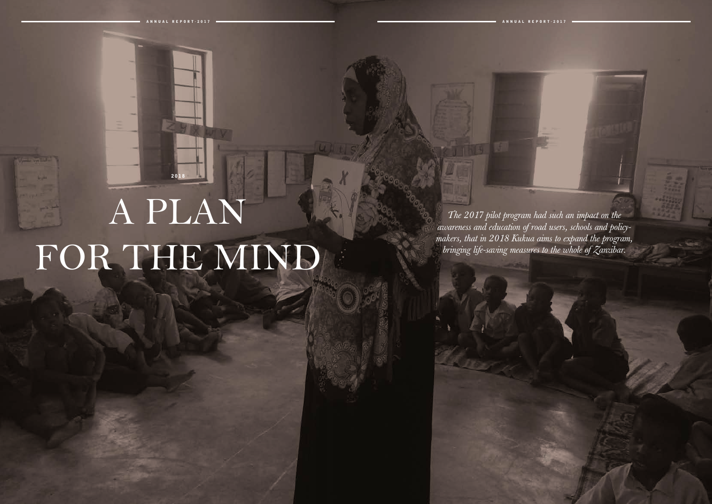2018

# a plan FOR THE MIND

*The 2017 pilot program had such an impact on the awareness and education of road users, schools and policymakers, that in 2018 Kukua aims to expand the program, bringing life-saving measures to the whole of Zanzibar.*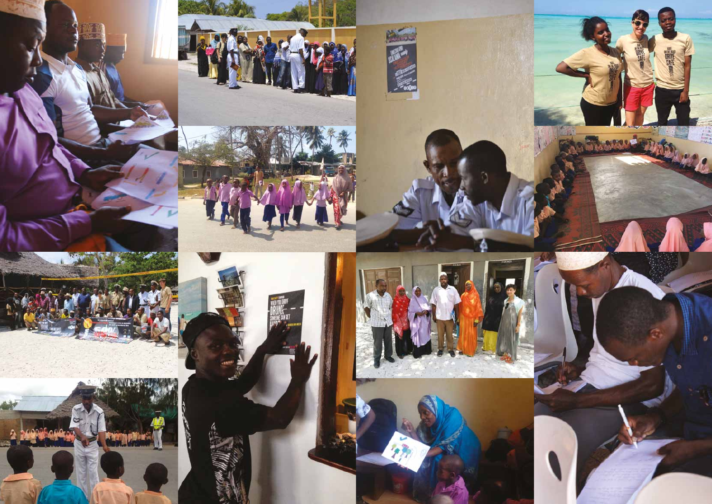